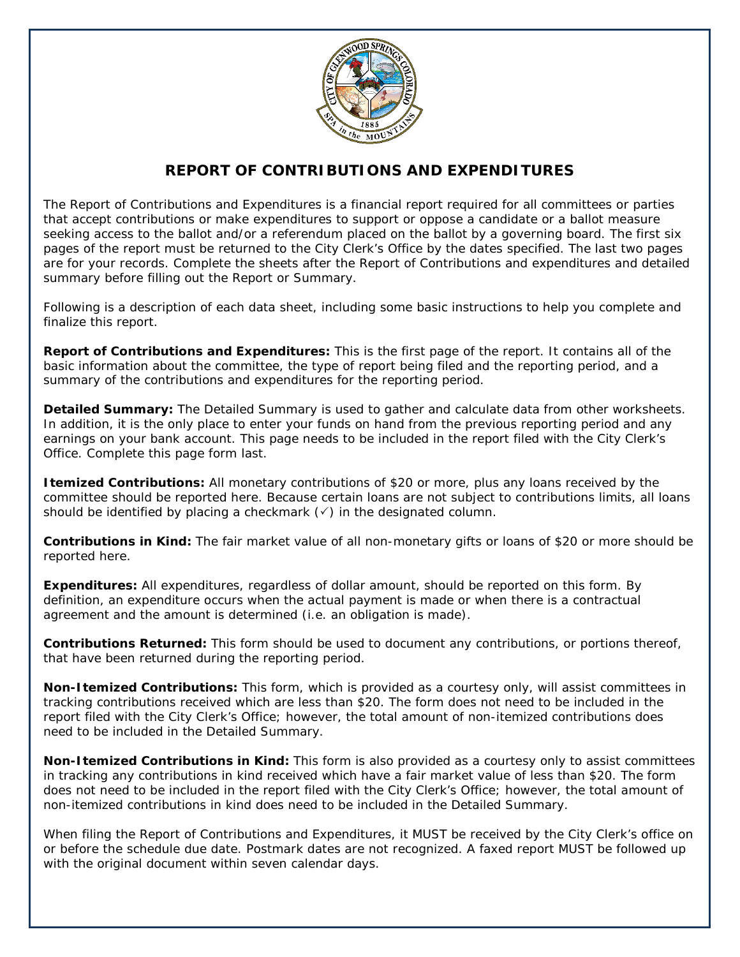

### **REPORT OF CONTRIBUTIONS AND EXPENDITURES**

The Report of Contributions and Expenditures is a financial report required for all committees or parties that accept contributions or make expenditures to support or oppose a candidate or a ballot measure seeking access to the ballot and/or a referendum placed on the ballot by a governing board. The first six pages of the report must be returned to the City Clerk's Office by the dates specified. The last two pages are for your records. Complete the sheets after the *Report of Contributions and expenditures and detailed summary* before filling out the Report or Summary.

Following is a description of each data sheet, including some basic instructions to help you complete and finalize this report.

**Report of Contributions and Expenditures:** This is the first page of the report. It contains all of the basic information about the committee, the type of report being filed and the reporting period, and a summary of the contributions and expenditures for the reporting period.

**Detailed Summary:** The Detailed Summary is used to gather and calculate data from other worksheets. In addition, it is the *only* place to enter your funds on hand from the previous reporting period and any earnings on your bank account. This page needs to be included in the report filed with the City Clerk's Office. Complete this page form last.

**Itemized Contributions:** All monetary contributions of \$20 or more, plus any loans received by the committee should be reported here. Because certain loans are not subject to contributions limits, all loans should be identified by placing a checkmark  $(\checkmark)$  in the designated column.

**Contributions in Kind:** The fair market value of all non-monetary gifts or loans of \$20 or more should be reported here.

**Expenditures:** All expenditures, regardless of dollar amount, should be reported on this form. By definition, an expenditure occurs when the actual payment is made or when there is a contractual agreement and the amount is determined (i.e. an obligation is made).

**Contributions Returned:** This form should be used to document any contributions, or portions thereof, that have been returned during the reporting period.

**Non-Itemized Contributions:** This form, which is provided as a courtesy only, will assist committees in tracking contributions received which are less than \$20. The form does not need to be included in the report filed with the City Clerk's Office; however, the total amount of non-itemized contributions does need to be included in the Detailed Summary.

**Non-Itemized Contributions in Kind:** This form is also provided as a courtesy only to assist committees in tracking any contributions in kind received which have a fair market value of less than \$20. The form does not need to be included in the report filed with the City Clerk's Office; however, the total amount of non-itemized contributions in kind does need to be included in the Detailed Summary.

When filing the Report of Contributions and Expenditures, it MUST be received by the City Clerk's office on or before the schedule due date. Postmark dates are not recognized. A faxed report MUST be followed up with the original document within seven calendar days.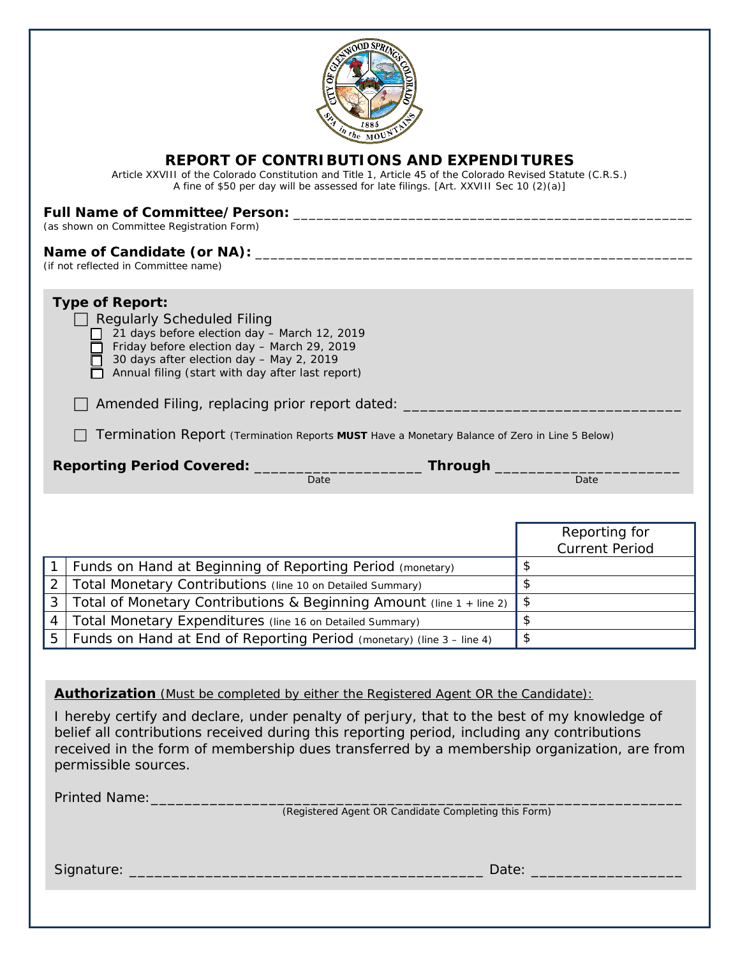| the MOV                                                                                                                                                                                                                                                                                                                                                                                                      |                                        |
|--------------------------------------------------------------------------------------------------------------------------------------------------------------------------------------------------------------------------------------------------------------------------------------------------------------------------------------------------------------------------------------------------------------|----------------------------------------|
| <b>REPORT OF CONTRIBUTIONS AND EXPENDITURES</b><br>Article XXVIII of the Colorado Constitution and Title 1, Article 45 of the Colorado Revised Statute (C.R.S.)<br>A fine of \$50 per day will be assessed for late filings. [Art. XXVIII Sec 10 (2)(a)]                                                                                                                                                     |                                        |
| (as shown on Committee Registration Form)                                                                                                                                                                                                                                                                                                                                                                    |                                        |
| (if not reflected in Committee name)                                                                                                                                                                                                                                                                                                                                                                         |                                        |
| <b>Type of Report:</b><br><b>Regularly Scheduled Filing</b><br>21 days before election day - March 12, 2019<br>Friday before election day - March 29, 2019<br>30 days after election day - May 2, 2019<br>Annual filing (start with day after last report)<br>Amended Filing, replacing prior report dated:<br>Termination Report (Termination Reports MUST Have a Monetary Balance of Zero in Line 5 Below) |                                        |
|                                                                                                                                                                                                                                                                                                                                                                                                              |                                        |
| Reporting Period Covered: _______________________________ Through<br>Date                                                                                                                                                                                                                                                                                                                                    | Date                                   |
|                                                                                                                                                                                                                                                                                                                                                                                                              |                                        |
|                                                                                                                                                                                                                                                                                                                                                                                                              | Reporting for<br><b>Current Period</b> |
| Funds on Hand at Beginning of Reporting Period (monetary)                                                                                                                                                                                                                                                                                                                                                    | \$                                     |
| $\overline{2}$<br>Total Monetary Contributions (line 10 on Detailed Summary)                                                                                                                                                                                                                                                                                                                                 | \$                                     |
| 3<br>Total of Monetary Contributions & Beginning Amount (line 1 + line 2)                                                                                                                                                                                                                                                                                                                                    | \$                                     |
| Total Monetary Expenditures (line 16 on Detailed Summary)<br>4                                                                                                                                                                                                                                                                                                                                               | \$                                     |
| Funds on Hand at End of Reporting Period (monetary) (line 3 - line 4)<br>5                                                                                                                                                                                                                                                                                                                                   | \$                                     |
|                                                                                                                                                                                                                                                                                                                                                                                                              |                                        |
| <b>Authorization</b> (Must be completed by either the Registered Agent OR the Candidate):                                                                                                                                                                                                                                                                                                                    |                                        |
| I hereby certify and declare, under penalty of perjury, that to the best of my knowledge of<br>belief all contributions received during this reporting period, including any contributions<br>received in the form of membership dues transferred by a membership organization, are from<br>permissible sources.                                                                                             |                                        |
| Printed Name:                                                                                                                                                                                                                                                                                                                                                                                                |                                        |
| (Registered Agent OR Candidate Completing this Form)                                                                                                                                                                                                                                                                                                                                                         |                                        |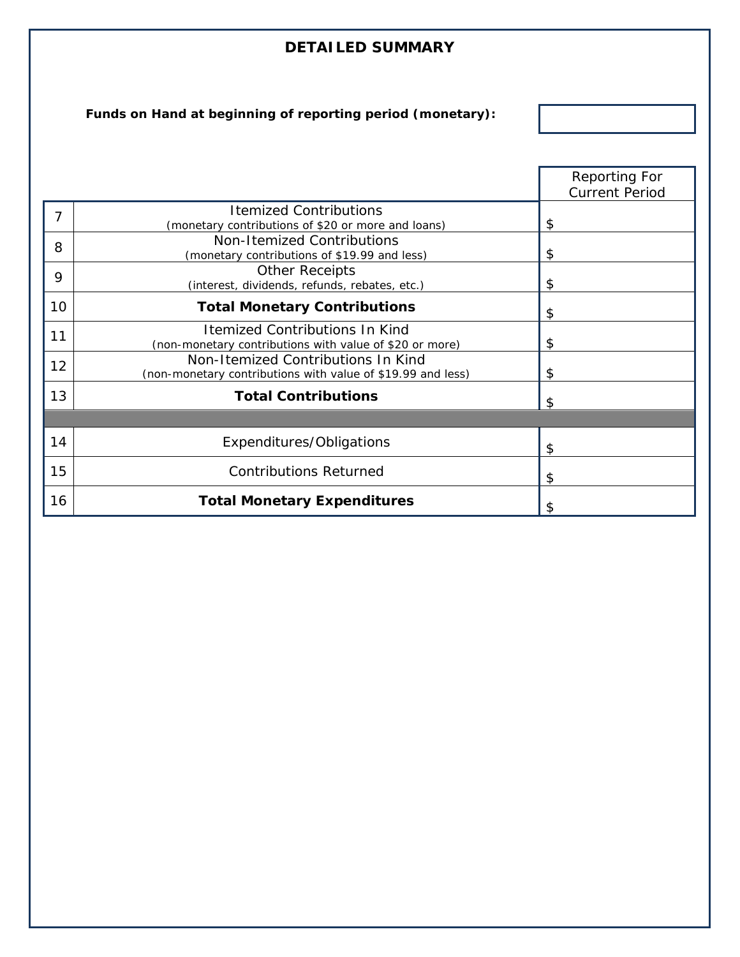## **DETAILED SUMMARY**

**Funds on Hand at beginning of reporting period (monetary):**

|    |                                                                                                   | <b>Reporting For</b>  |
|----|---------------------------------------------------------------------------------------------------|-----------------------|
|    |                                                                                                   | <b>Current Period</b> |
| 7  | <b>Itemized Contributions</b><br>(monetary contributions of \$20 or more and loans)               | \$                    |
| 8  | Non-Itemized Contributions<br>(monetary contributions of \$19.99 and less)                        | \$                    |
| 9  | <b>Other Receipts</b><br>(interest, dividends, refunds, rebates, etc.)                            | \$                    |
| 10 | <b>Total Monetary Contributions</b>                                                               | \$                    |
| 11 | <b>Itemized Contributions In Kind</b><br>(non-monetary contributions with value of \$20 or more)  | \$                    |
| 12 | Non-Itemized Contributions In Kind<br>(non-monetary contributions with value of \$19.99 and less) | \$                    |
| 13 | <b>Total Contributions</b>                                                                        | \$                    |
|    |                                                                                                   |                       |
| 14 | Expenditures/Obligations                                                                          | \$                    |
| 15 | <b>Contributions Returned</b>                                                                     | \$                    |
| 16 | <b>Total Monetary Expenditures</b>                                                                | \$                    |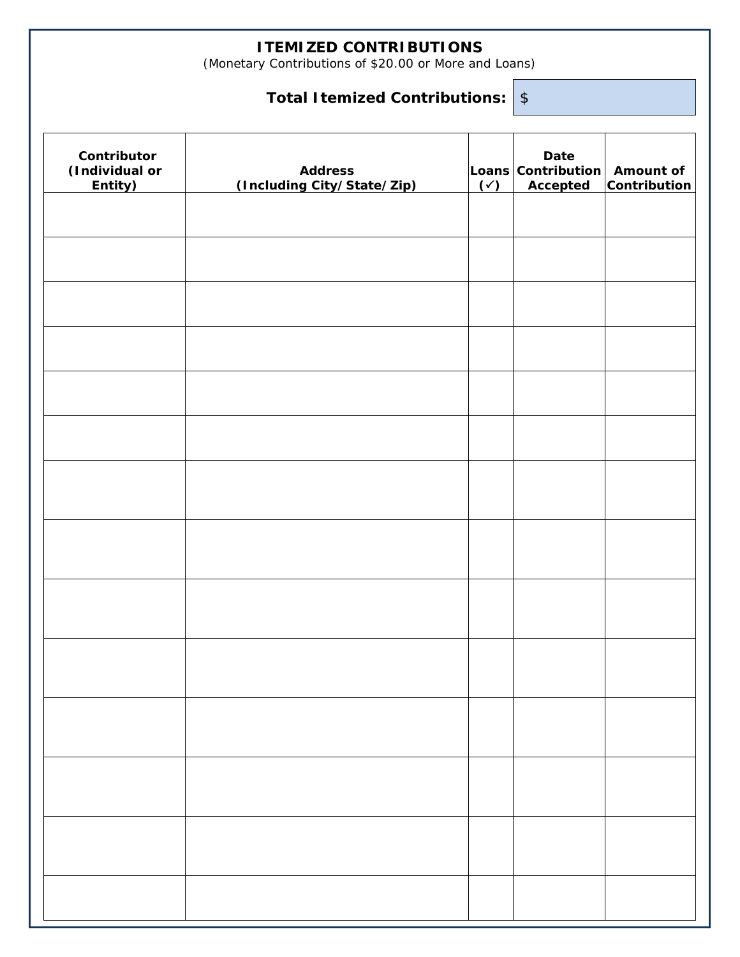## **ITEMIZED CONTRIBUTIONS**

(Monetary Contributions of \$20.00 or More and Loans)

# **Total Itemized Contributions:** \$

| Contributor<br>(Individual or<br>Entity) | <b>Address</b><br>(Including City/State/Zip) | $(\checkmark)$ | Date<br>Loans Contribution Amount of<br>Accepted | <b>Contribution</b> |
|------------------------------------------|----------------------------------------------|----------------|--------------------------------------------------|---------------------|
|                                          |                                              |                |                                                  |                     |
|                                          |                                              |                |                                                  |                     |
|                                          |                                              |                |                                                  |                     |
|                                          |                                              |                |                                                  |                     |
|                                          |                                              |                |                                                  |                     |
|                                          |                                              |                |                                                  |                     |
|                                          |                                              |                |                                                  |                     |
|                                          |                                              |                |                                                  |                     |
|                                          |                                              |                |                                                  |                     |
|                                          |                                              |                |                                                  |                     |
|                                          |                                              |                |                                                  |                     |
|                                          |                                              |                |                                                  |                     |
|                                          |                                              |                |                                                  |                     |
|                                          |                                              |                |                                                  |                     |
|                                          |                                              |                |                                                  |                     |
|                                          |                                              |                |                                                  |                     |
|                                          |                                              |                |                                                  |                     |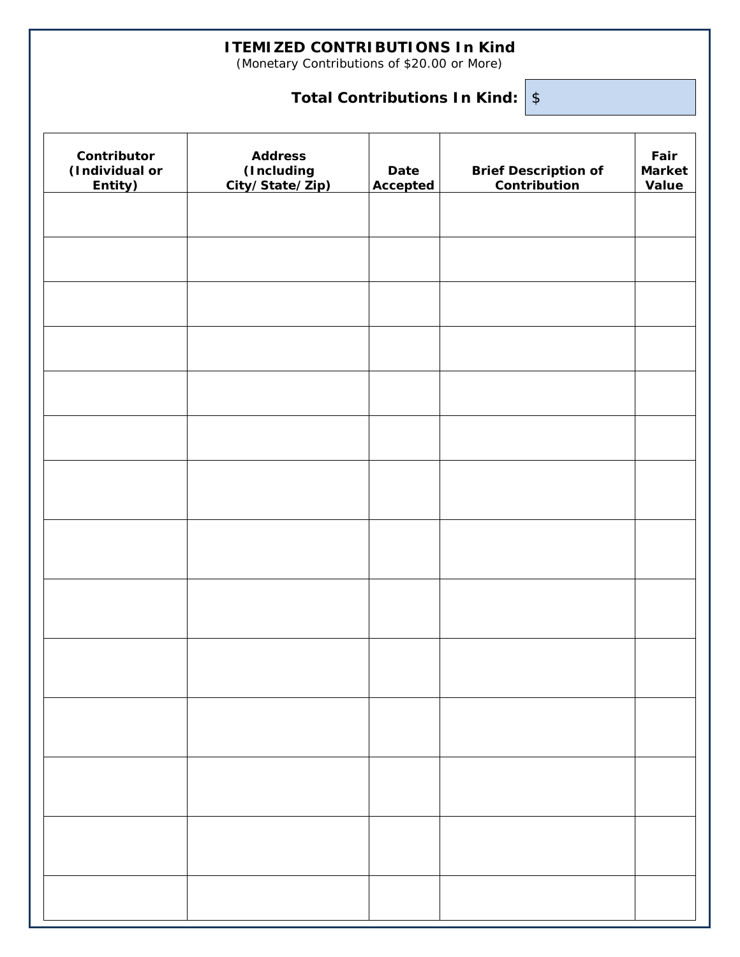### **ITEMIZED CONTRIBUTIONS In Kind**

(Monetary Contributions of \$20.00 or More)

## **Total Contributions In Kind:** \$

| Contributor<br>(Individual or<br>Entity) | <b>Address</b><br>(Including<br>City/State/Zip) | Date<br>Accepted | <b>Brief Description of</b><br>Contribution | Fair<br><b>Market</b><br>Value |
|------------------------------------------|-------------------------------------------------|------------------|---------------------------------------------|--------------------------------|
|                                          |                                                 |                  |                                             |                                |
|                                          |                                                 |                  |                                             |                                |
|                                          |                                                 |                  |                                             |                                |
|                                          |                                                 |                  |                                             |                                |
|                                          |                                                 |                  |                                             |                                |
|                                          |                                                 |                  |                                             |                                |
|                                          |                                                 |                  |                                             |                                |
|                                          |                                                 |                  |                                             |                                |
|                                          |                                                 |                  |                                             |                                |
|                                          |                                                 |                  |                                             |                                |
|                                          |                                                 |                  |                                             |                                |
|                                          |                                                 |                  |                                             |                                |
|                                          |                                                 |                  |                                             |                                |
|                                          |                                                 |                  |                                             |                                |
|                                          |                                                 |                  |                                             |                                |
|                                          |                                                 |                  |                                             |                                |
|                                          |                                                 |                  |                                             |                                |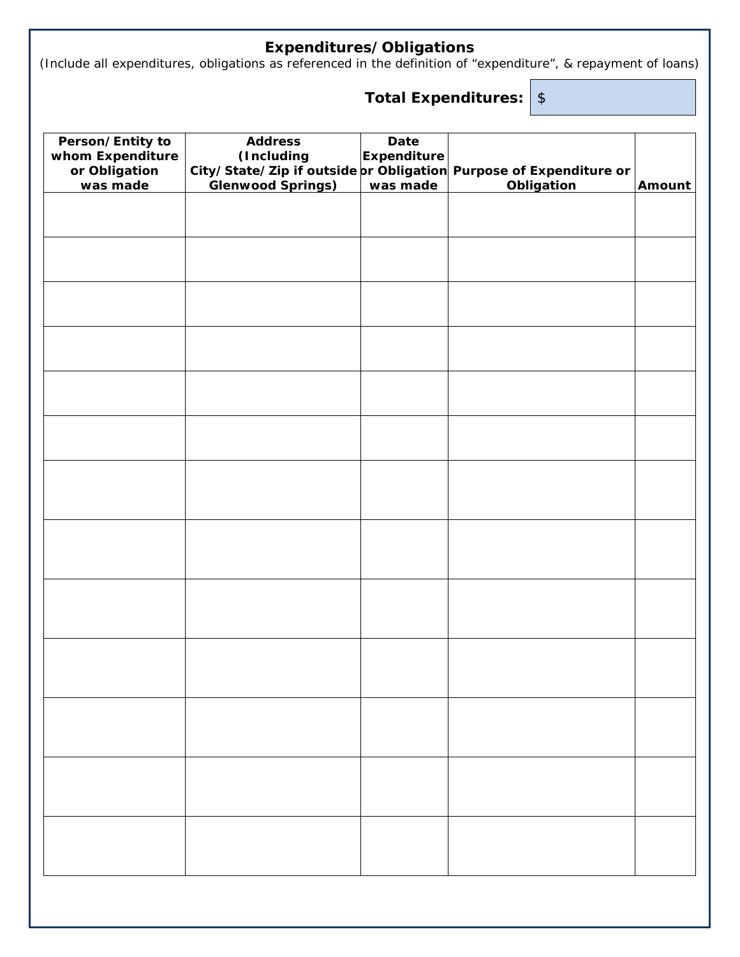#### **Expenditures/Obligations**

(Include all expenditures, obligations as referenced in the definition of "expenditure", & repayment of loans)

# **Total Expenditures:** \$

| Person/Entity to<br>whom Expenditure | <b>Address</b><br>(Including | Date<br><b>Expenditure</b> |                                                                   |        |
|--------------------------------------|------------------------------|----------------------------|-------------------------------------------------------------------|--------|
| or Obligation                        |                              |                            | City/State/Zip if outside pr Obligation Purpose of Expenditure or |        |
| was made                             | <b>Glenwood Springs)</b>     | was made                   | <b>Obligation</b>                                                 | Amount |
|                                      |                              |                            |                                                                   |        |
|                                      |                              |                            |                                                                   |        |
|                                      |                              |                            |                                                                   |        |
|                                      |                              |                            |                                                                   |        |
|                                      |                              |                            |                                                                   |        |
|                                      |                              |                            |                                                                   |        |
|                                      |                              |                            |                                                                   |        |
|                                      |                              |                            |                                                                   |        |
|                                      |                              |                            |                                                                   |        |
|                                      |                              |                            |                                                                   |        |
|                                      |                              |                            |                                                                   |        |
|                                      |                              |                            |                                                                   |        |
|                                      |                              |                            |                                                                   |        |
|                                      |                              |                            |                                                                   |        |
|                                      |                              |                            |                                                                   |        |
|                                      |                              |                            |                                                                   |        |
|                                      |                              |                            |                                                                   |        |
|                                      |                              |                            |                                                                   |        |
|                                      |                              |                            |                                                                   |        |
|                                      |                              |                            |                                                                   |        |
|                                      |                              |                            |                                                                   |        |
|                                      |                              |                            |                                                                   |        |
|                                      |                              |                            |                                                                   |        |
|                                      |                              |                            |                                                                   |        |
|                                      |                              |                            |                                                                   |        |
|                                      |                              |                            |                                                                   |        |
|                                      |                              |                            |                                                                   |        |
|                                      |                              |                            |                                                                   |        |
|                                      |                              |                            |                                                                   |        |
|                                      |                              |                            |                                                                   |        |
|                                      |                              |                            |                                                                   |        |
|                                      |                              |                            |                                                                   |        |
|                                      |                              |                            |                                                                   |        |
|                                      |                              |                            |                                                                   |        |
|                                      |                              |                            |                                                                   |        |
|                                      |                              |                            |                                                                   |        |
|                                      |                              |                            |                                                                   |        |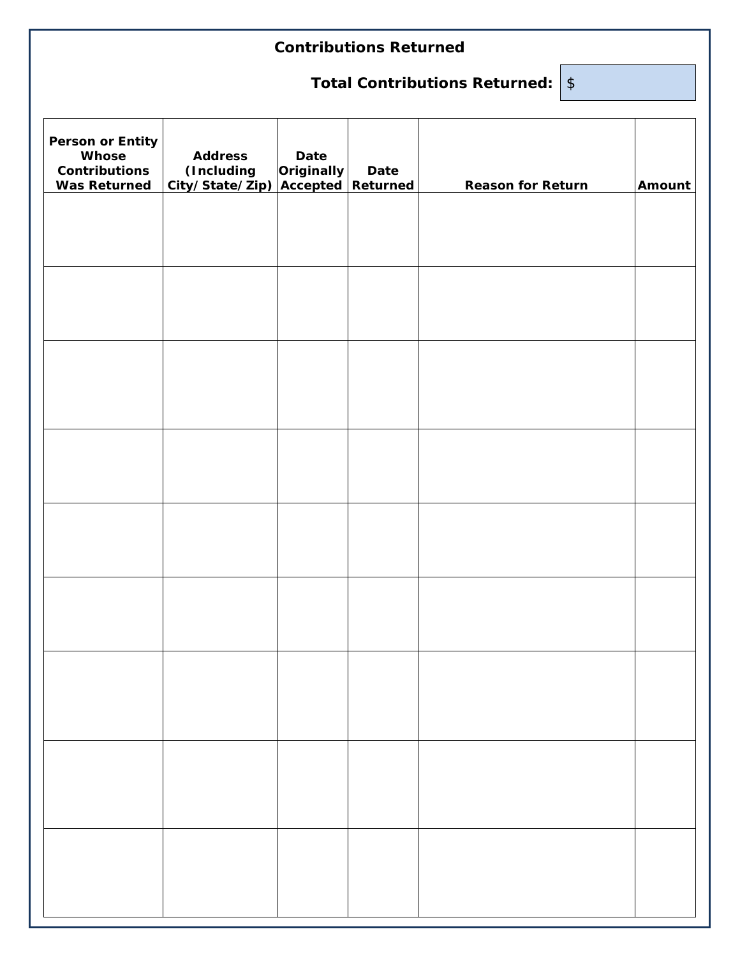## **Contributions Returned**

# **Total Contributions Returned:** \$

| Person or Entity<br>Whose<br><b>Contributions</b><br><b>Was Returned</b> | <b>Address</b><br>(Including<br>City/State/Zip) | Date<br>Originally<br><u>Accepted</u> | Date<br>Returned | <b>Reason for Return</b> | Amount |
|--------------------------------------------------------------------------|-------------------------------------------------|---------------------------------------|------------------|--------------------------|--------|
|                                                                          |                                                 |                                       |                  |                          |        |
|                                                                          |                                                 |                                       |                  |                          |        |
|                                                                          |                                                 |                                       |                  |                          |        |
|                                                                          |                                                 |                                       |                  |                          |        |
|                                                                          |                                                 |                                       |                  |                          |        |
|                                                                          |                                                 |                                       |                  |                          |        |
|                                                                          |                                                 |                                       |                  |                          |        |
|                                                                          |                                                 |                                       |                  |                          |        |
|                                                                          |                                                 |                                       |                  |                          |        |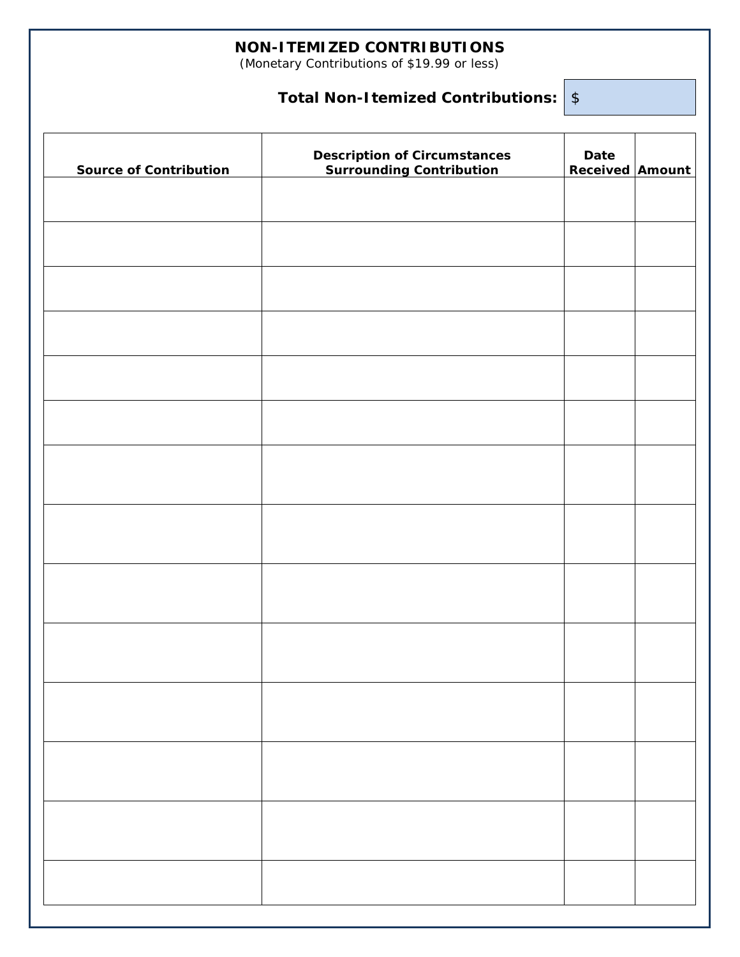### **NON-ITEMIZED CONTRIBUTIONS**

(Monetary Contributions of \$19.99 or less)

## **Total Non-Itemized Contributions:** \$

| <b>Source of Contribution</b> | Description of Circumstances<br>Surrounding Contribution | Date<br><b>Received Amount</b> |  |
|-------------------------------|----------------------------------------------------------|--------------------------------|--|
|                               |                                                          |                                |  |
|                               |                                                          |                                |  |
|                               |                                                          |                                |  |
|                               |                                                          |                                |  |
|                               |                                                          |                                |  |
|                               |                                                          |                                |  |
|                               |                                                          |                                |  |
|                               |                                                          |                                |  |
|                               |                                                          |                                |  |
|                               |                                                          |                                |  |
|                               |                                                          |                                |  |
|                               |                                                          |                                |  |
|                               |                                                          |                                |  |
|                               |                                                          |                                |  |
|                               |                                                          |                                |  |
|                               |                                                          |                                |  |
|                               |                                                          |                                |  |